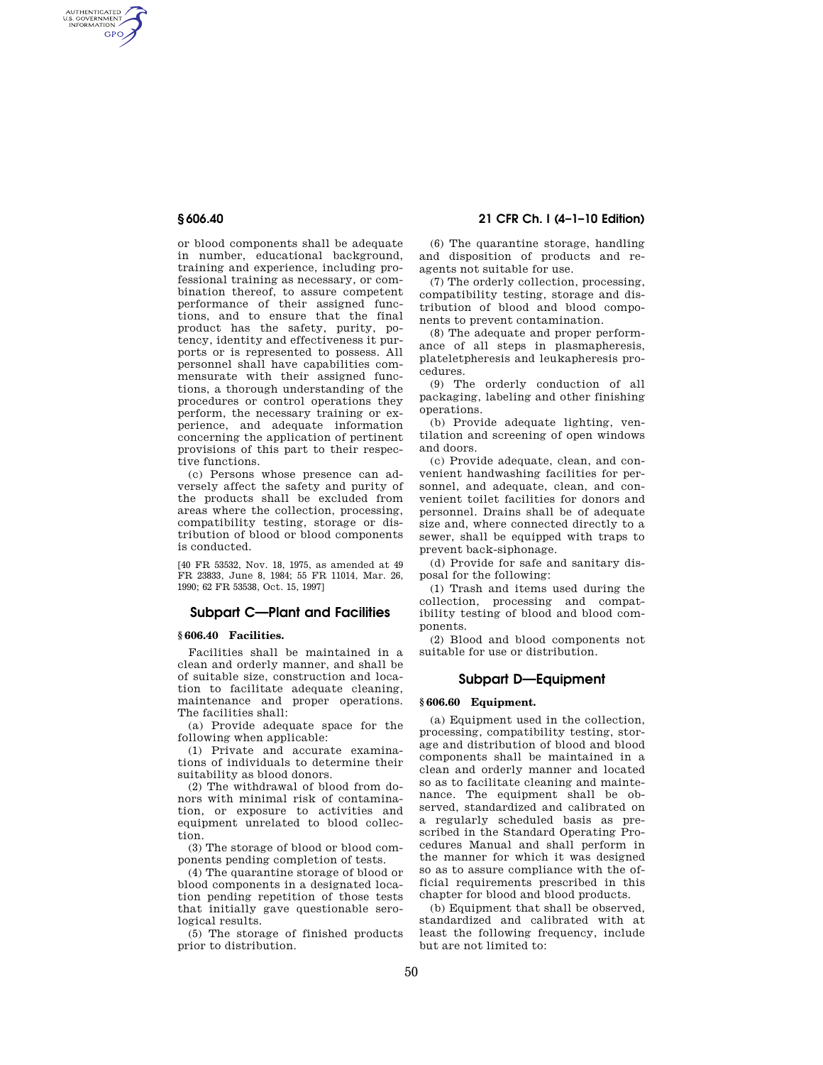AUTHENTICATED<br>U.S. GOVERNMENT<br>INFORMATION GPO

> or blood components shall be adequate in number, educational background, training and experience, including professional training as necessary, or combination thereof, to assure competent performance of their assigned functions, and to ensure that the final product has the safety, purity, potency, identity and effectiveness it purports or is represented to possess. All personnel shall have capabilities commensurate with their assigned functions, a thorough understanding of the procedures or control operations they perform, the necessary training or experience, and adequate information concerning the application of pertinent provisions of this part to their respective functions.

(c) Persons whose presence can adversely affect the safety and purity of the products shall be excluded from areas where the collection, processing, compatibility testing, storage or distribution of blood or blood components is conducted.

[40 FR 53532, Nov. 18, 1975, as amended at 49 FR 23833, June 8, 1984; 55 FR 11014, Mar. 26, 1990; 62 FR 53538, Oct. 15, 1997]

# **Subpart C—Plant and Facilities**

### **§ 606.40 Facilities.**

Facilities shall be maintained in a clean and orderly manner, and shall be of suitable size, construction and location to facilitate adequate cleaning, maintenance and proper operations. The facilities shall:

(a) Provide adequate space for the following when applicable:

(1) Private and accurate examinations of individuals to determine their suitability as blood donors.

(2) The withdrawal of blood from donors with minimal risk of contamination, or exposure to activities and equipment unrelated to blood collection.

(3) The storage of blood or blood components pending completion of tests.

(4) The quarantine storage of blood or blood components in a designated location pending repetition of those tests that initially gave questionable serological results.

(5) The storage of finished products prior to distribution.

**§ 606.40 21 CFR Ch. I (4–1–10 Edition)** 

(6) The quarantine storage, handling and disposition of products and reagents not suitable for use.

(7) The orderly collection, processing, compatibility testing, storage and distribution of blood and blood components to prevent contamination.

(8) The adequate and proper performance of all steps in plasmapheresis, plateletpheresis and leukapheresis procedures.

(9) The orderly conduction of all packaging, labeling and other finishing operations.

(b) Provide adequate lighting, ventilation and screening of open windows and doors.

(c) Provide adequate, clean, and convenient handwashing facilities for personnel, and adequate, clean, and convenient toilet facilities for donors and personnel. Drains shall be of adequate size and, where connected directly to a sewer, shall be equipped with traps to prevent back-siphonage.

(d) Provide for safe and sanitary disposal for the following:

(1) Trash and items used during the collection, processing and compatibility testing of blood and blood components.

(2) Blood and blood components not suitable for use or distribution.

# **Subpart D—Equipment**

## **§ 606.60 Equipment.**

(a) Equipment used in the collection, processing, compatibility testing, storage and distribution of blood and blood components shall be maintained in a clean and orderly manner and located so as to facilitate cleaning and maintenance. The equipment shall be observed, standardized and calibrated on a regularly scheduled basis as prescribed in the Standard Operating Procedures Manual and shall perform in the manner for which it was designed so as to assure compliance with the official requirements prescribed in this chapter for blood and blood products.

(b) Equipment that shall be observed, standardized and calibrated with at least the following frequency, include but are not limited to: